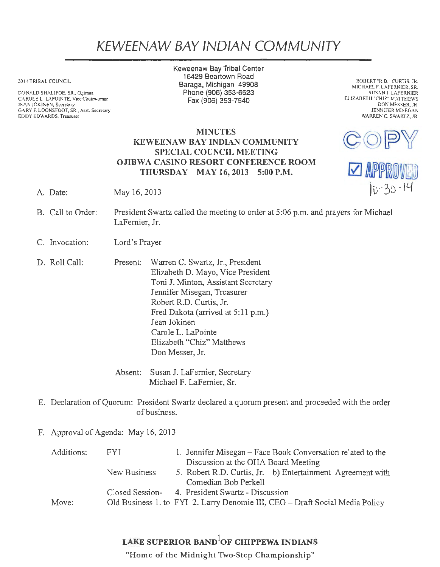## KEWEENAW BAY IND/AN COMMUNITY

2014 TRIBAL COUNCIL

DONALD SHALIFOE, SR., Ogimaa CAROLE L. LAPOINTE, Vice Chairwoman JEAN JOKINEN, Secretary GARY F. LOONSFOOT, SR., Asst. Secretary EDDY EDWARDS, Treasurer

Keweenaw Bay Tribal Center 16429 Beartown Road Baraga, Michigan 49908 Phone (906) 353-6623 Fax(906)353-7540

ROBERT "R.D." CURTIS, JR. MICHAEL F. LAFERNIER, SR. SUSAN J. LAFERNIER ELIZABETH "CHIZ" MATTHEWS DON MESSER, JR. JENNIFER MISEGAN WARREN C. SWARTZ, JR.

## MINUTES KEWEENAW BAY INDIAN COMMUNITY SPECIAL COUNCIL MEETING OJIBWA CASINO RESORT CONFERENCE ROOM THURSDAY -MAY 16, 2013 -5:00 P.M.



- A. Date: May 16, 2013
- B. Call to Order: President Swartz called the meeting to order at 5:06 p.m. and prayers for Michael LaFernier, Jr.
- C. Invocation: Lord's Prayer
- D. Roll Call: Present: Warren C. Swartz, Jr., President Elizabeth D. Mayo, Vice President Toni J. Minton, Assistant Secretary Jennifer Misegan, Treasurer Robert R.D. Curtis, Jr. Fred Dakota (arrived at 5:11 p.m.) Jean Jokinen Carole L. LaPointe Elizabeth "Chiz" Matthews Don Messer, Jr.

Absent: Susan J. LaFemier, Secretary Michael F. LaFemier, Sr.

- E. Declaration of Quorum: President Swartz declared a quorum present and proceeded with the order of business.
- F. Approval of Agenda: May 16, 2013

| Additions: | FYI-            | 1. Jennifer Misegan – Face Book Conversation related to the                  |
|------------|-----------------|------------------------------------------------------------------------------|
|            |                 | Discussion at the OHA Board Meeting                                          |
|            | New Business-   | 5. Robert R.D. Curtis, Jr. - b) Entertainment Agreement with                 |
|            |                 | Comedian Bob Perkell                                                         |
|            | Closed Session- | 4. President Swartz - Discussion                                             |
| Move:      |                 | Old Business 1. to FYI 2. Larry Denomie III, CEO - Draft Social Media Policy |

## LAKE SUPERIOR BAND ${}^{1}$ OF CHIPPEWA INDIANS

"Home of the Midnight Two-Step Championship"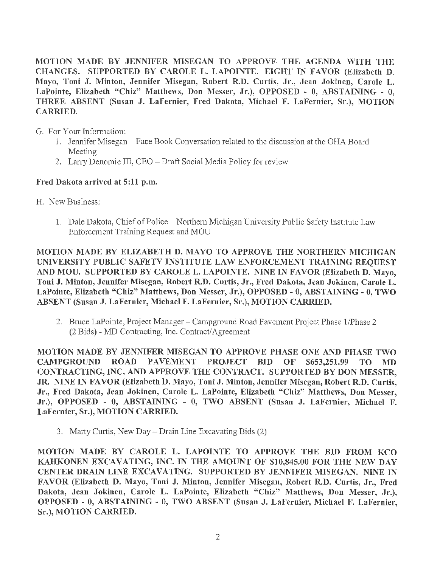MOTION MADE BY JENNIFER MISEGAN TO APPROVE THE AGENDA 'VITH THE CHANGES. SUPPORTED BY CAROLE L. LAPOINTE. EIGHT IN FAVOR (Elizabeth D. Mayo, Toni J. Minton, Jennifer Misegan, Robert R.D. Curtis, Jr., Jean Jokinen, Carole L. LaPointe, Elizabeth "Chiz" Matthews, Don Messer, Jr.), OPPOSED - O, ABSTAINING - 0, THREE ABSENT (Susan J. LaFernier, Fred Dakota, Michael F. LaFernier, Sr.), MOTION CARRIED.

G. For Your Information:

- 1. Jennifer Misegan Face Book Conversation related to the discussion at the OHA Board Meeting
- 2. Larry Denomie III, CEO Draft Social Media Policy for review

## Fred Dakota arrived at 5:11 p.m.

- H. New Business:
	- 1. Dale Dakota, Chief of Police Northern Michigan University Public Safety Institute Law Enforcement Training Request and MOU

MOTION MADE BY ELIZABETH D. MAYO TO APPROVE THE NORTHERN MICHIGAN UNIVERSITY PUBLIC SAFETY INSTITUTE LAW ENFORCEMENT TRAINING REQUEST AND MOU. SUPPORTED BY CAROLE L. LAPOINTE. NINE IN FAVOR (Elizabeth D. Mayo, Toni J. Minton, Jennifer Misegan, Robert R.D. Curtis, Jr., Fred Dakota, Jean Jokinen, Carole L. LaPointe, Elizabeth "Chiz" Matthews, Don Messer, Jr.), OPPOSED - O, ABSTAINING - O, TWO ABSENT (Susan J. LaFernier, Michael F. LaFernier, Sr.), MOTION CARRIED.

2. Bruce LaPointe, Project Manager – Campground Road Pavement Project Phase 1/Phase 2 (2 Bids) - MD Contracting, Inc. Contract/ Agreement

MOTION MADE BY JENNIFER MISEGAN TO APPROVE PHASE ONE AND PHASE TWO CAMPGROUND ROAD PAVEMENT PROJECT BID OF \$653,251.99 TO MD CONTRACTING, INC. AND APPROVE THE CONTRACT. SUPPORTED BY DON MESSER, JR. NINE IN FAVOR (Elizabeth D. Mayo, Toni J. Minton, Jennifer Misegan, Robert R.D. Curtis, Jr., Fred Dakota, Jean Jokinen, Carole L. LaPointe, Elizabeth "Chiz" Matthews, Don Messer, Jr.), OPPOSED - O, ABSTAINING - O, TWO ABSENT (Susan J. LaFernier, Michael F. LaFernier, Sr.), MOTION CARRIED.

3. Marty Curtis, New Day - Drain Line Excavating Bids (2)

MOTION MADE BY CAROLE L. LAPOINTE TO APPROVE THE BID FROM KCO KAHKONEN EXCAVATING, INC. IN THE AMOUNT OF \$10,845.00 FOR THE NEW DAY CENTER DRAIN LINE EXCAVATING. SUPPORTED BY JENNIFER MISEGAN. NINE IN FAVOR (Elizabeth D. Mayo, Toni J. Minton, Jennifer Misegan, Robert R.D. Curtis, Jr., Fred Dakota, Jean Jokinen, Carole L. LaPointe, Elizabeth "Chiz" Matthews, Don Messer, Jr.), OPPOSED - 0, ABSTAINING - O, TWO ABSENT (Susan J. LaFernier, Michael F. LaFernier, Sr.), MOTION CARRIED.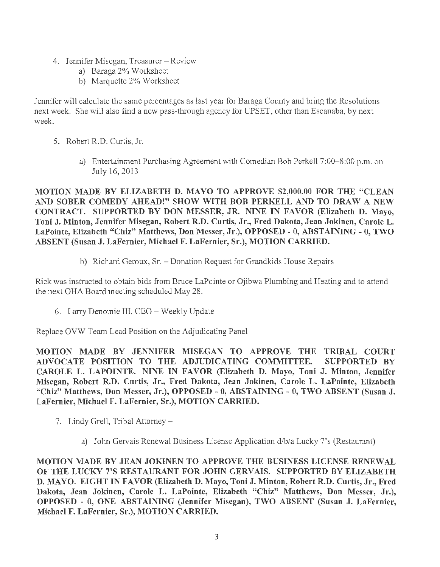- 4. Jennifer Misegan, Treasurer-Review
	- a) Baraga 2% Worksheet
	- b) Marquette 2% Worksheet

Jennifer will calculate the same percentages as last year for Baraga County and bring the Resolutions next week. She will also find a new pass-through agency for UPSET, other than Escanaba, by next week.

- 5. Robert R.D. Curtis, Jr.
	- a) Entertainment Purchasing Agreement with Comedian Bob Perkell 7:00–8:00 p.m. on July 16, 2013

MOTION MADE BY ELIZABETH D. MAYO TO APPROVE \$2,000.00 FOR THE "CLEAN AND SOBER COMEDY AHEAD!" SHOW WITH BOB PERKELL AND TO DRAW A NEW CONTRACT. SUPPORTED BY DON MESSER, JR. NINE IN FAVOR (Elizabeth D. Mayo, Toni J. Minton, Jennifer Misegan, Robert R.D. Curtis, Jr., Fred Dakota, Jean Jokinen, Carole L. LaPointe, Elizabeth "Chiz" Matthews, Don Messer, Jr.), OPPOSED - O, ABSTAINING - 0, TWO ABSENT (Susan J. LaFernier, Michael F. LaFernier, Sr.), MOTION CARRIED.

b) Richard Geroux, Sr. - Donation Request for Grandkids House Repairs

Rick was instructed to obtain bids from Bruce LaPointe or Ojibwa Plumbing and Heating and to attend the next OHA Board meeting scheduled May 28.

6. Larry Denomie III, CEO - Weekly Update

Replace OVW Team Lead Position on the Adjudicating Panel -

MOTION MADE BY JENNIFER MISEGAN TO APPROVE THE TRIBAL COURT ADVOCATE POSITION TO THE ADJUDICATING COMMITTEE. SUPPORTED BY CAROLE L. LAPOINTE. NINE IN FAVOR (Elizabeth D. Mayo, Toni J. Minton, Jennifer Misegan, Robert R.D. Curtis, Jr., Fred Dakota, Jean Jokinen, Carole L. LaPointe, Elizabeth "Chiz" Matthews, Don Messer, Jr.), OPPOSED - O, ABSTAINING - O, TWO ABSENT (Susan J. LaFernier, Michael F. LaFernier, Sr.), MOTION CARRIED.

- 7. Lindy Grell, Tribal Attorney
	- a) John Gervais Renewal Business License Application d/b/a Lucky 7's (Restaurant)

MOTION MADE BY JEAN JOKINEN TO APPROVE THE BUSINESS LICENSE RENEW AL OF THE LUCKY 7'S RESTAURANT FOR JOHN GERVAIS. SUPPORTED BY ELIZABETH D. MAYO. EIGHT IN FAVOR (Elizabeth D. Mayo, Toni J. Minton, Robert R.D. Curtis, Jr., Fred Dakota, Jean Jokinen, Carole L. LaPointe, Elizabeth "Chiz" Matthews, Don Messer, Jr.), OPPOSED - O, ONE ABSTAINING (Jennifer Misegan), TWO ABSENT (Susan J. LaFernier, Michael F. LaFernier, Sr.), MOTION CARRIED.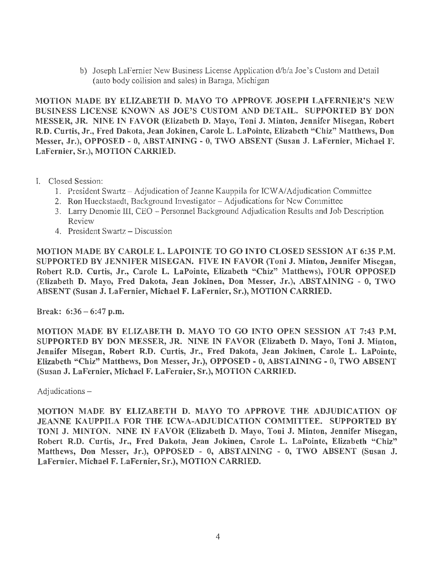b) Joseph LaFernier New Business License Application d/b/a Joe's Custom and Detail (auto body collision and sales) in Baraga, Michigan

MOTION MADE BY ELIZABETH D. MAYO TO APPROVE JOSEPH LAFERNIER'S NEW BUSINESS LICENSE KNOWN AS JOE'S CUSTOM AND DETAIL. SUPPORTED BY DON MESSER, JR. NINE IN FAVOR (Elizabeth D. Mayo, Toni J. Minton, Jennifer Misegan, Robert R.D. Curtis, Jr., Fred Dakota, Jean Jokinen, Carole L. LaPointe, Elizabeth "Chiz" Matthews, Don Messer, Jr.), OPPOSED - O, ABSTAINING - O, TWO ABSENT (Susan J. LaFernier, Michael F. LaFernier, Sr.), MOTION CARRIED.

- I. Closed Session:
	- 1. President Swartz -Adjudication of Jeanne Kauppila for ICW NAdjudication Committee
	- 2. Ron Hueckstaedt, Background Investigator Adjudications for New Committee
	- 3. Larry Denornie III, CEO Personnel Background Adjudication Results and Job Description Review
	- 4. President Swartz Discussion

MOTION MADE BY CAROLE L. LAPOINTE TO GO INTO CLOSED SESSION AT 6:35 P.M. SUPPORTED BY JENNIFER MISEGAN. FIVE IN FAVOR (Toni J. Minton, Jennifer Misegan, Robert R.D. Curtis, Jr., Carole L. LaPointe, Elizabeth "Chiz" Matthews), FOUR OPPOSED (Elizabeth D. Mayo, Fred Dakota, Jean Jokinen, Don Messer, Jr.), ABSTAINING - O, TWO ABSENT (Susan J. LaFernier, Michael F. LaFernier, Sr.), MOTION CARRIED.

Break: 6:36 - 6:47 p.m.

MOTION MADE BY ELIZABETH D. MAYO TO GO INTO OPEN SESSION AT 7:43 P.M. SUPPORTED BY DON MESSER, JR. NINE IN FAVOR (Elizabeth D. Mayo, Toni J. Minton, Jennifer Misegan, Robert R.D. Curtis, Jr., Fred Dakota, Jean Jokinen, Carole L. LaPointe, Elizabeth "Chiz" Matthews, Don Messer, Jr.), OPPOSED - O, ABSTAINING - 0, TWO ABSENT (Susan J. LaFernier, Michael F. LaFernier, Sr.), MOTION CARRIED.

Adjudications -

MOTION MADE BY ELIZABETH D. MAYO TO APPROVE THE ADJUDICATION OF JEANNE KAUPPILA FOR THE ICWA-ADJUDICATION COMMITTEE. SUPPORTED BY TONI J. MINTON. NINE IN FAVOR (Elizabeth D. Mayo, Toni J. Minton, Jennifer Misegan, Robert R.D. Curtis, Jr., Fred Dakota, Jean Jokinen, Carole L. LaPointe, Elizabeth "Chiz" Matthews, Don Messer, Jr.), OPPOSED - 0, ABSTAINING - O, TWO ABSENT (Susan J. LaFernier, Michael F. LaFernier, Sr.), MOTION CARRIED.